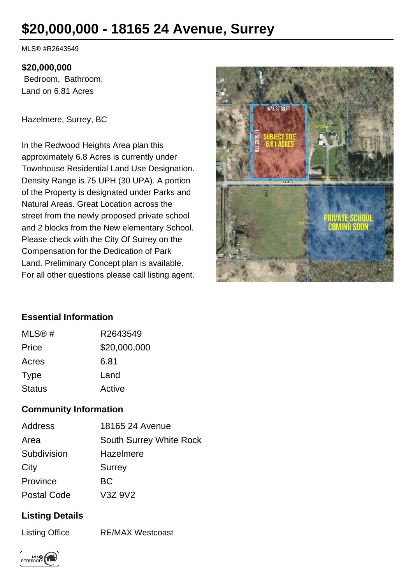# **\$20,000,000 - 18165 24 Avenue, Surrey**

MLS® #R2643549

#### **\$20,000,000**

 Bedroom, Bathroom, Land on 6.81 Acres

Hazelmere, Surrey, BC

In the Redwood Heights Area plan this approximately 6.8 Acres is currently under Townhouse Residential Land Use Designation. Density Range is 75 UPH (30 UPA). A portion of the Property is designated under Parks and Natural Areas. Great Location across the street from the newly proposed private school and 2 blocks from the New elementary School. Please check with the City Of Surrey on the Compensation for the Dedication of Park Land. Preliminary Concept plan is available. For all other questions please call listing agent.



### **Essential Information**

| MLS@#         | R2643549     |
|---------------|--------------|
| Price         | \$20,000,000 |
| Acres         | 6.81         |
| Type          | Land         |
| <b>Status</b> | Active       |

### **Community Information**

| Address            | 18165 24 Avenue                |
|--------------------|--------------------------------|
| Area               | <b>South Surrey White Rock</b> |
| Subdivision        | Hazelmere                      |
| City               | <b>Surrey</b>                  |
| Province           | ВC                             |
| <b>Postal Code</b> | V3Z 9V2                        |

## **Listing Details**

Listing Office RE/MAX Westcoast